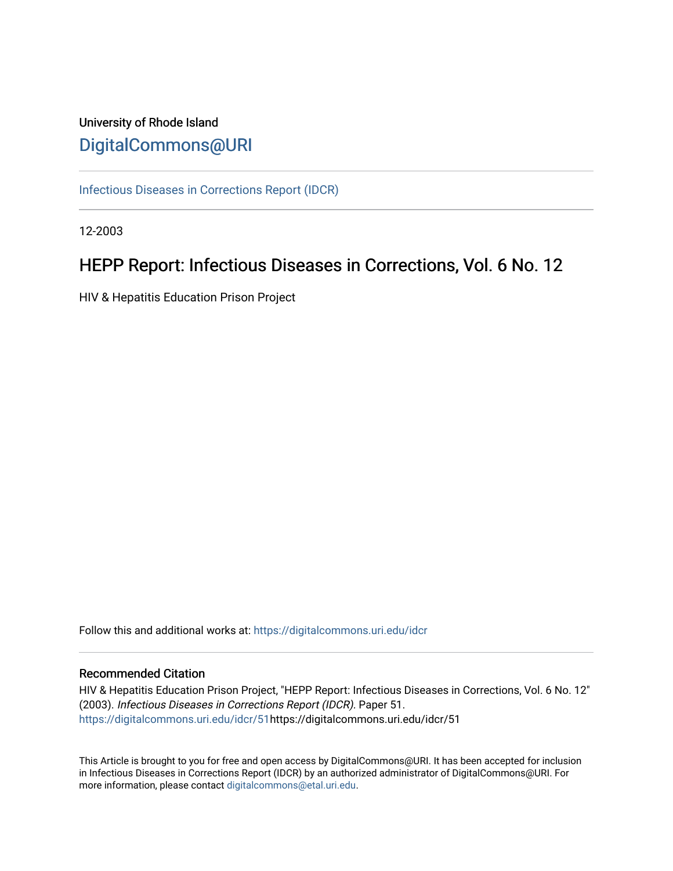# University of Rhode Island [DigitalCommons@URI](https://digitalcommons.uri.edu/)

[Infectious Diseases in Corrections Report \(IDCR\)](https://digitalcommons.uri.edu/idcr)

12-2003

# HEPP Report: Infectious Diseases in Corrections, Vol. 6 No. 12

HIV & Hepatitis Education Prison Project

Follow this and additional works at: [https://digitalcommons.uri.edu/idcr](https://digitalcommons.uri.edu/idcr?utm_source=digitalcommons.uri.edu%2Fidcr%2F51&utm_medium=PDF&utm_campaign=PDFCoverPages)

# Recommended Citation

HIV & Hepatitis Education Prison Project, "HEPP Report: Infectious Diseases in Corrections, Vol. 6 No. 12" (2003). Infectious Diseases in Corrections Report (IDCR). Paper 51. [https://digitalcommons.uri.edu/idcr/51h](https://digitalcommons.uri.edu/idcr/51?utm_source=digitalcommons.uri.edu%2Fidcr%2F51&utm_medium=PDF&utm_campaign=PDFCoverPages)ttps://digitalcommons.uri.edu/idcr/51

This Article is brought to you for free and open access by DigitalCommons@URI. It has been accepted for inclusion in Infectious Diseases in Corrections Report (IDCR) by an authorized administrator of DigitalCommons@URI. For more information, please contact [digitalcommons@etal.uri.edu.](mailto:digitalcommons@etal.uri.edu)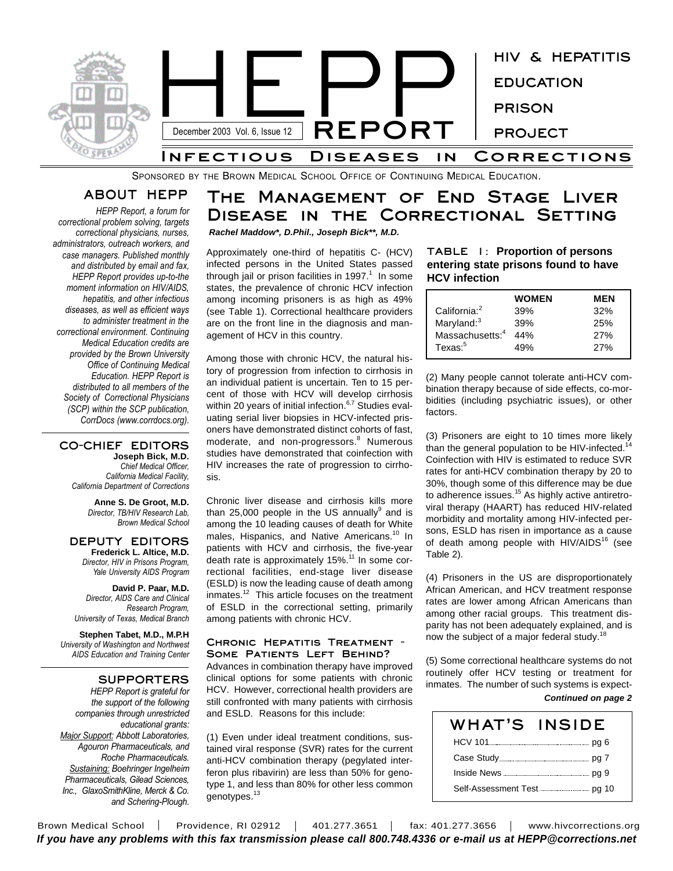

SPONSORED BY THE BROWN MEDICAL SCHOOL OFFICE OF CONTINUING MEDICAL EDUCATION.

# **ABOUT HEPP**

*HEPP Report, a forum for correctional problem solving, targets correctional physicians, nurses, administrators, outreach workers, and case managers. Published monthly and distributed by email and fax, HEPP Report provides up-to-the moment information on HIV/AIDS, hepatitis, and other infectious diseases, as well as efficient ways to administer treatment in the correctional environment. Continuing Medical Education credits are provided by the Brown University Office of Continuing Medical Education. HEPP Report is distributed to all members of the Society of Correctional Physicians (SCP) within the SCP publication, CorrDocs (www.corrdocs.org).*

#### **CO-CHIEF EDITORS Joseph Bick, M.D.** *Chief Medical Officer,*

*California Medical Facility, California Department of Corrections*

> **Anne S. De Groot, M.D.** *Director, TB/HIV Research Lab, Brown Medical School*

#### **DEPUTY EDITORS Frederick L. Altice, M.D.** *Director, HIV in Prisons Program, Yale University AIDS Program*

**David P. Paar, M.D.** *Director, AIDS Care and Clinical Research Program, University of Texas, Medical Branch*

**Stephen Tabet, M.D., M.P.H** *University of Washington and Northwest AIDS Education and Training Center*

# **SUPPORTERS**

*HEPP Report is grateful for the support of the following companies through unrestricted educational grants: Major Support: Abbott Laboratories, Agouron Pharmaceuticals, and Roche Pharmaceuticals. Sustaining: Boehringer Ingelheim Pharmaceuticals, Gilead Sciences, Inc., GlaxoSmithKline, Merck & Co. and Schering-Plough.*

# **The Management of End Stage Liver Disease in the Correctional Setting** *Rachel Maddow\*, D.Phil., Joseph Bick\*\*, M.D.*

Approximately one-third of hepatitis C- (HCV) infected persons in the United States passed through jail or prison facilities in 1997. $1$  In some states, the prevalence of chronic HCV infection among incoming prisoners is as high as 49% (see Table 1). Correctional healthcare providers are on the front line in the diagnosis and management of HCV in this country.

Among those with chronic HCV, the natural history of progression from infection to cirrhosis in an individual patient is uncertain. Ten to 15 percent of those with HCV will develop cirrhosis within 20 years of initial infection.<sup>6,7</sup> Studies evaluating serial liver biopsies in HCV-infected prisoners have demonstrated distinct cohorts of fast, moderate, and non-progressors. <sup>8</sup> Numerous studies have demonstrated that coinfection with HIV increases the rate of progression to cirrhosis.

Chronic liver disease and cirrhosis kills more than 25,000 people in the US annually<sup>9</sup> and is among the 10 leading causes of death for White males, Hispanics, and Native Americans.<sup>10</sup> In patients with HCV and cirrhosis, the five-year death rate is approximately 15%.<sup>11</sup> In some correctional facilities, end-stage liver disease (ESLD) is now the leading cause of death among inmates.<sup>12</sup> This article focuses on the treatment of ESLD in the correctional setting, primarily among patients with chronic HCV.

#### **Chronic Hepatitis Treatment - Some Patients Left Behind?**

Advances in combination therapy have improved clinical options for some patients with chronic HCV. However, correctional health providers are still confronted with many patients with cirrhosis and ESLD. Reasons for this include:

(1) Even under ideal treatment conditions, sustained viral response (SVR) rates for the current anti-HCV combination therapy (pegylated interferon plus ribavirin) are less than 50% for genotype 1, and less than 80% for other less common genotypes.<sup>13</sup>

# **TABLE 1: Proportion of persons entering state prisons found to have HCV infection**

|                             | <b>WOMEN</b> | MEN |
|-----------------------------|--------------|-----|
| California: <sup>2</sup>    | 39%          | 32% |
| Maryland: <sup>3</sup>      | 39%          | 25% |
| Massachusetts: <sup>4</sup> | 44%          | 27% |
| $T$ exas: $5$               | 49%          | 27% |

(2) Many people cannot tolerate anti-HCV combination therapy because of side effects, co-morbidities (including psychiatric issues), or other factors.

(3) Prisoners are eight to 10 times more likely than the general population to be HIV-infected.<sup>14</sup> Coinfection with HIV is estimated to reduce SVR rates for anti-HCV combination therapy by 20 to 30%, though some of this difference may be due to adherence issues.<sup>15</sup> As highly active antiretroviral therapy (HAART) has reduced HIV-related morbidity and mortality among HIV-infected persons, ESLD has risen in importance as a cause of death among people with HIV/AIDS<sup>16</sup> (see Table 2).

(4) Prisoners in the US are disproportionately African American, and HCV treatment response rates are lower among African Americans than among other racial groups. This treatment disparity has not been adequately explained, and is now the subject of a major federal study.<sup>18</sup>

(5) Some correctional healthcare systems do not routinely offer HCV testing or treatment for inmates. The number of such systems is expect-*Continued on page 2*

| WHAT'S INSIDE |  |
|---------------|--|
|               |  |
|               |  |
|               |  |
|               |  |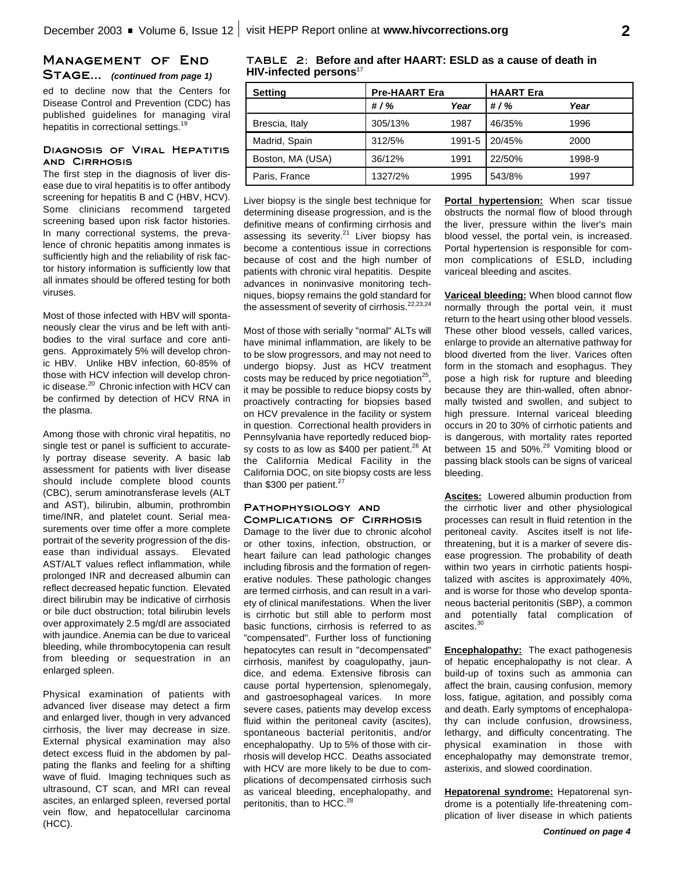# **Management of End** STAGE... *(continued from page 1)*

ed to decline now that the Centers for Disease Control and Prevention (CDC) has published guidelines for managing viral hepatitis in correctional settings.<sup>19</sup>

### **Diagnosis of Viral Hepatitis and Cirrhosis**

The first step in the diagnosis of liver disease due to viral hepatitis is to offer antibody screening for hepatitis B and C (HBV, HCV). Some clinicians recommend targeted screening based upon risk factor histories. In many correctional systems, the prevalence of chronic hepatitis among inmates is sufficiently high and the reliability of risk factor history information is sufficiently low that all inmates should be offered testing for both viruses.

Most of those infected with HBV will spontaneously clear the virus and be left with antibodies to the viral surface and core antigens. Approximately 5% will develop chronic HBV. Unlike HBV infection, 60-85% of those with HCV infection will develop chronic disease.<sup>20</sup> Chronic infection with HCV can be confirmed by detection of HCV RNA in the plasma.

Among those with chronic viral hepatitis, no single test or panel is sufficient to accurately portray disease severity. A basic lab assessment for patients with liver disease should include complete blood counts (CBC), serum aminotransferase levels (ALT and AST), bilirubin, albumin, prothrombin time/INR, and platelet count. Serial measurements over time offer a more complete portrait of the severity progression of the disease than individual assays. Elevated AST/ALT values reflect inflammation, while prolonged INR and decreased albumin can reflect decreased hepatic function. Elevated direct bilirubin may be indicative of cirrhosis or bile duct obstruction; total bilirubin levels over approximately 2.5 mg/dl are associated with jaundice. Anemia can be due to variceal bleeding, while thrombocytopenia can result from bleeding or sequestration in an enlarged spleen.

Physical examination of patients with advanced liver disease may detect a firm and enlarged liver, though in very advanced cirrhosis, the liver may decrease in size. External physical examination may also detect excess fluid in the abdomen by palpating the flanks and feeling for a shifting wave of fluid. Imaging techniques such as ultrasound, CT scan, and MRI can reveal ascites, an enlarged spleen, reversed portal vein flow, and hepatocellular carcinoma (HCC).

# **TABLE 2: Before and after HAART: ESLD as a cause of death in HIV-infected persons** 17

| <b>Setting</b>   | <b>Pre-HAART Era</b> |        | <b>HAART</b> Era |        |
|------------------|----------------------|--------|------------------|--------|
|                  | # $/$ %              | Year   | # $/$ %          | Year   |
| Brescia, Italy   | 305/13%              | 1987   | 46/35%           | 1996   |
| Madrid, Spain    | 312/5%               | 1991-5 | 20/45%           | 2000   |
| Boston, MA (USA) | 36/12%               | 1991   | 22/50%           | 1998-9 |
| Paris, France    | 1327/2%              | 1995   | 543/8%           | 1997   |

Liver biopsy is the single best technique for determining disease progression, and is the definitive means of confirming cirrhosis and assessing its severity.<sup>21</sup> Liver biopsy has become a contentious issue in corrections because of cost and the high number of patients with chronic viral hepatitis. Despite advances in noninvasive monitoring techniques, biopsy remains the gold standard for the assessment of severity of cirrhosis.<sup>22,23,24</sup>

Most of those with serially "normal" ALTs will have minimal inflammation, are likely to be to be slow progressors, and may not need to undergo biopsy. Just as HCV treatment costs may be reduced by price negotiation<sup>25</sup>, it may be possible to reduce biopsy costs by proactively contracting for biopsies based on HCV prevalence in the facility or system in question. Correctional health providers in Pennsylvania have reportedly reduced biopsy costs to as low as \$400 per patient.<sup>26</sup> At the California Medical Facility in the California DOC, on site biopsy costs are less than \$300 per patient.<sup>27</sup>

#### **Pathophysiology and Complications of Cirrhosis**

Damage to the liver due to chronic alcohol or other toxins, infection, obstruction, or heart failure can lead pathologic changes including fibrosis and the formation of regenerative nodules. These pathologic changes are termed cirrhosis, and can result in a variety of clinical manifestations. When the liver is cirrhotic but still able to perform most basic functions, cirrhosis is referred to as "compensated". Further loss of functioning hepatocytes can result in "decompensated" cirrhosis, manifest by coagulopathy, jaundice, and edema. Extensive fibrosis can cause portal hypertension, splenomegaly, and gastroesophageal varices. In more severe cases, patients may develop excess fluid within the peritoneal cavity (ascites), spontaneous bacterial peritonitis, and/or encephalopathy. Up to 5% of those with cirrhosis will develop HCC. Deaths associated with HCV are more likely to be due to complications of decompensated cirrhosis such as variceal bleeding, encephalopathy, and peritonitis, than to HCC.<sup>28</sup>

**Portal hypertension:** When scar tissue obstructs the normal flow of blood through the liver, pressure within the liver's main blood vessel, the portal vein, is increased. Portal hypertension is responsible for common complications of ESLD, including variceal bleeding and ascites.

**Variceal bleeding:** When blood cannot flow normally through the portal vein, it must return to the heart using other blood vessels. These other blood vessels, called varices, enlarge to provide an alternative pathway for blood diverted from the liver. Varices often form in the stomach and esophagus. They pose a high risk for rupture and bleeding because they are thin-walled, often abnormally twisted and swollen, and subject to high pressure. Internal variceal bleeding occurs in 20 to 30% of cirrhotic patients and is dangerous, with mortality rates reported between 15 and 50%.<sup>29</sup> Vomiting blood or passing black stools can be signs of variceal bleeding.

**Ascites:** Lowered albumin production from the cirrhotic liver and other physiological processes can result in fluid retention in the peritoneal cavity. Ascites itself is not lifethreatening, but it is a marker of severe disease progression. The probability of death within two years in cirrhotic patients hospitalized with ascites is approximately 40%, and is worse for those who develop spontaneous bacterial peritonitis (SBP), a common and potentially fatal complication of ascites. 30

**Encephalopathy:** The exact pathogenesis of hepatic encephalopathy is not clear. A build-up of toxins such as ammonia can affect the brain, causing confusion, memory loss, fatigue, agitation, and possibly coma and death. Early symptoms of encephalopathy can include confusion, drowsiness, lethargy, and difficulty concentrating. The physical examination in those with encephalopathy may demonstrate tremor, asterixis, and slowed coordination.

**Hepatorenal syndrome:** Hepatorenal syndrome is a potentially life-threatening complication of liver disease in which patients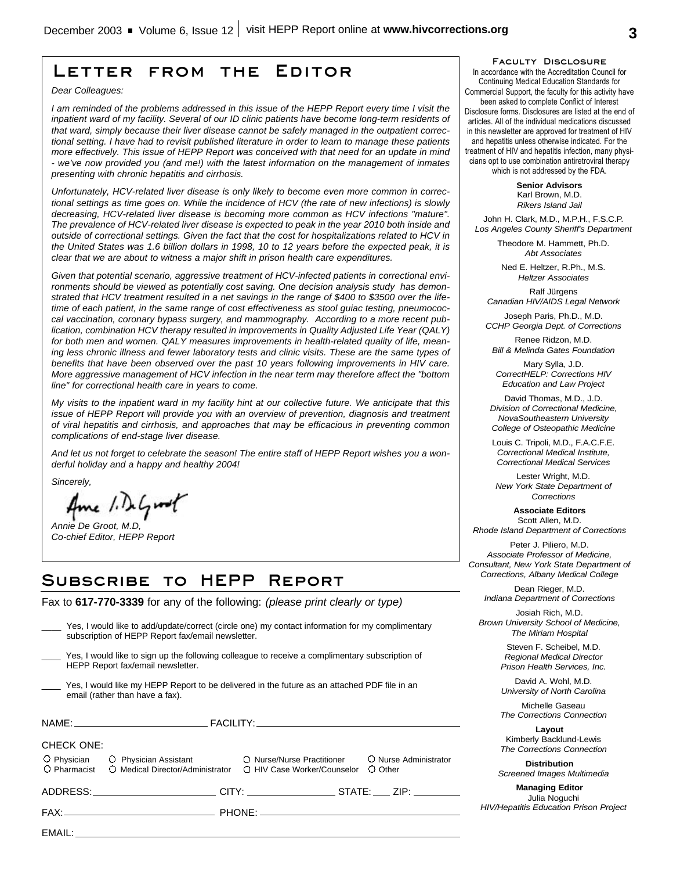# **Letter from the Editor**

*Dear Colleagues:*

*I am reminded of the problems addressed in this issue of the HEPP Report every time I visit the inpatient ward of my facility. Several of our ID clinic patients have become long-term residents of that ward, simply because their liver disease cannot be safely managed in the outpatient correctional setting. I have had to revisit published literature in order to learn to manage these patients more effectively. This issue of HEPP Report was conceived with that need for an update in mind - we've now provided you (and me!) with the latest information on the management of inmates presenting with chronic hepatitis and cirrhosis.*

*Unfortunately, HCV-related liver disease is only likely to become even more common in correctional settings as time goes on. While the incidence of HCV (the rate of new infections) is slowly decreasing, HCV-related liver disease is becoming more common as HCV infections "mature". The prevalence of HCV-related liver disease is expected to peak in the year 2010 both inside and outside of correctional settings. Given the fact that the cost for hospitalizations related to HCV in the United States was 1.6 billion dollars in 1998, 10 to 12 years before the expected peak, it is clear that we are about to witness a major shift in prison health care expenditures.*

*Given that potential scenario, aggressive treatment of HCV-infected patients in correctional environments should be viewed as potentially cost saving. One decision analysis study has demonstrated that HCV treatment resulted in a net savings in the range of \$400 to \$3500 over the lifetime of each patient, in the same range of cost effectiveness as stool guiac testing, pneumococcal vaccination, coronary bypass surgery, and mammography. According to a more recent publication, combination HCV therapy resulted in improvements in Quality Adjusted Life Year (QALY) for both men and women. QALY measures improvements in health-related quality of life, meaning less chronic illness and fewer laboratory tests and clinic visits. These are the same types of benefits that have been observed over the past 10 years following improvements in HIV care. More aggressive management of HCV infection in the near term may therefore affect the "bottom line" for correctional health care in years to come.*

*My visits to the inpatient ward in my facility hint at our collective future. We anticipate that this issue of HEPP Report will provide you with an overview of prevention, diagnosis and treatment of viral hepatitis and cirrhosis, and approaches that may be efficacious in preventing common complications of end-stage liver disease.*

*And let us not forget to celebrate the season! The entire staff of HEPP Report wishes you a wonderful holiday and a happy and healthy 2004!*

*Sincerely,*

Ame 1. DeGroot

*Annie De Groot, M.D, Co-chief Editor, HEPP Report*

# **Subscribe to HEPP Report**

Fax to **617-770-3339** for any of the following: *(please print clearly or type)*

|                   | Yes, I would like to add/update/correct (circle one) my contact information for my complimentary<br>subscription of HEPP Report fax/email newsletter.                                                                          |  |                       |  |
|-------------------|--------------------------------------------------------------------------------------------------------------------------------------------------------------------------------------------------------------------------------|--|-----------------------|--|
|                   | Yes, I would like to sign up the following colleague to receive a complimentary subscription of<br>HEPP Report fax/email newsletter.                                                                                           |  |                       |  |
|                   | Yes, I would like my HEPP Report to be delivered in the future as an attached PDF file in an<br>email (rather than have a fax).                                                                                                |  |                       |  |
|                   |                                                                                                                                                                                                                                |  |                       |  |
| <b>CHECK ONE:</b> | O Physician C Physician Assistant C Nurse/Nurse Practitioner<br>O Pharmacist C Medical Director/Administrator C HIV Case Worker/Counselor C Other                                                                              |  | O Nurse Administrator |  |
|                   | ADDRESS:______________________________CITY: ______________________STATE: _____ ZIP: _________                                                                                                                                  |  |                       |  |
|                   |                                                                                                                                                                                                                                |  |                       |  |
|                   | EMAIL: The contract of the contract of the contract of the contract of the contract of the contract of the contract of the contract of the contract of the contract of the contract of the contract of the contract of the con |  |                       |  |
|                   |                                                                                                                                                                                                                                |  |                       |  |

**Faculty Disclosure**

In accordance with the Accreditation Council for Continuing Medical Education Standards for Commercial Support, the faculty for this activity have been asked to complete Conflict of Interest Disclosure forms. Disclosures are listed at the end of articles. All of the individual medications discussed in this newsletter are approved for treatment of HIV and hepatitis unless otherwise indicated. For the treatment of HIV and hepatitis infection, many physicians opt to use combination antiretroviral therapy which is not addressed by the FDA.

> **Senior Advisors** Karl Brown, M.D. *Rikers Island Jail*

John H. Clark, M.D., M.P.H., F.S.C.P. *Los Angeles County Sheriff's Department*

> Theodore M. Hammett, Ph.D. *Abt Associates*

Ned E. Heltzer, R.Ph., M.S. *Heltzer Associates*

Ralf Jürgens *Canadian HIV/AIDS Legal Network*

Joseph Paris, Ph.D., M.D. *CCHP Georgia Dept. of Corrections*

Renee Ridzon, M.D. *Bill & Melinda Gates Foundation*

Mary Sylla, J.D. *CorrectHELP: Corrections HIV Education and Law Project*

David Thomas, M.D., J.D. *Division of Correctional Medicine, NovaSoutheastern University College of Osteopathic Medicine*

Louis C. Tripoli, M.D., F.A.C.F.E. *Correctional Medical Institute, Correctional Medical Services*

Lester Wright, M.D. *New York State Department of Corrections*

**Associate Editors** Scott Allen, M.D. *Rhode Island Department of Corrections*

Peter J. Piliero, M.D. *Associate Professor of Medicine, Consultant, New York State Department of Corrections, Albany Medical College*

Dean Rieger, M.D. *Indiana Department of Corrections*

Josiah Rich, M.D. *Brown University School of Medicine, The Miriam Hospital*

> Steven F. Scheibel, M.D. *Regional Medical Director Prison Health Services, Inc.*

> David A. Wohl, M.D. *University of North Carolina*

> Michelle Gaseau *The Corrections Connection*

> **Layout** Kimberly Backlund-Lewis *The Corrections Connection*

**Distribution** *Screened Images Multimedia*

**Managing Editor** Julia Noguchi *HIV/Hepatitis Education Prison Project*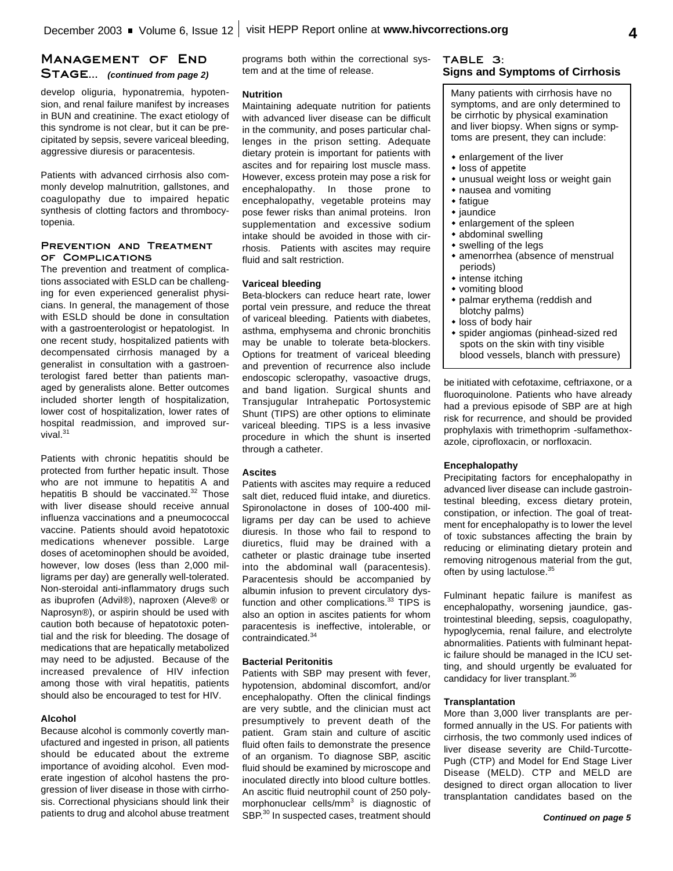# **Management of End Stage...** *(continued from page 2)*

develop oliguria, hyponatremia, hypotension, and renal failure manifest by increases in BUN and creatinine. The exact etiology of this syndrome is not clear, but it can be precipitated by sepsis, severe variceal bleeding, aggressive diuresis or paracentesis.

Patients with advanced cirrhosis also commonly develop malnutrition, gallstones, and coagulopathy due to impaired hepatic synthesis of clotting factors and thrombocytopenia.

#### **Prevention and Treatment of Complications**

The prevention and treatment of complications associated with ESLD can be challenging for even experienced generalist physicians. In general, the management of those with ESLD should be done in consultation with a gastroenterologist or hepatologist. In one recent study, hospitalized patients with decompensated cirrhosis managed by a generalist in consultation with a gastroenterologist fared better than patients managed by generalists alone. Better outcomes included shorter length of hospitalization, lower cost of hospitalization, lower rates of hospital readmission, and improved survival.<sup>31</sup>

Patients with chronic hepatitis should be protected from further hepatic insult. Those who are not immune to hepatitis A and hepatitis B should be vaccinated.<sup>32</sup> Those with liver disease should receive annual influenza vaccinations and a pneumococcal vaccine. Patients should avoid hepatotoxic medications whenever possible. Large doses of acetominophen should be avoided, however, low doses (less than 2,000 milligrams per day) are generally well-tolerated. Non-steroidal anti-inflammatory drugs such as ibuprofen (Advil®), naproxen (Aleve® or Naprosyn®), or aspirin should be used with caution both because of hepatotoxic potential and the risk for bleeding. The dosage of medications that are hepatically metabolized may need to be adjusted. Because of the increased prevalence of HIV infection among those with viral hepatitis, patients should also be encouraged to test for HIV.

#### **Alcohol**

Because alcohol is commonly covertly manufactured and ingested in prison, all patients should be educated about the extreme importance of avoiding alcohol. Even moderate ingestion of alcohol hastens the progression of liver disease in those with cirrhosis. Correctional physicians should link their patients to drug and alcohol abuse treatment programs both within the correctional system and at the time of release.

#### **Nutrition**

Maintaining adequate nutrition for patients with advanced liver disease can be difficult in the community, and poses particular challenges in the prison setting. Adequate dietary protein is important for patients with ascites and for repairing lost muscle mass. However, excess protein may pose a risk for encephalopathy. In those prone to encephalopathy, vegetable proteins may pose fewer risks than animal proteins. Iron supplementation and excessive sodium intake should be avoided in those with cirrhosis. Patients with ascites may require fluid and salt restriction.

#### **Variceal bleeding**

Beta-blockers can reduce heart rate, lower portal vein pressure, and reduce the threat of variceal bleeding. Patients with diabetes, asthma, emphysema and chronic bronchitis may be unable to tolerate beta-blockers. Options for treatment of variceal bleeding and prevention of recurrence also include endoscopic scleropathy, vasoactive drugs, and band ligation. Surgical shunts and Transjugular Intrahepatic Portosystemic Shunt (TIPS) are other options to eliminate variceal bleeding. TIPS is a less invasive procedure in which the shunt is inserted through a catheter.

#### **Ascites**

Patients with ascites may require a reduced salt diet, reduced fluid intake, and diuretics. Spironolactone in doses of 100-400 milligrams per day can be used to achieve diuresis. In those who fail to respond to diuretics, fluid may be drained with a catheter or plastic drainage tube inserted into the abdominal wall (paracentesis). Paracentesis should be accompanied by albumin infusion to prevent circulatory dysfunction and other complications.<sup>33</sup> TIPS is also an option in ascites patients for whom paracentesis is ineffective, intolerable, or contraindicated. 34

#### **Bacterial Peritonitis**

Patients with SBP may present with fever, hypotension, abdominal discomfort, and/or encephalopathy. Often the clinical findings are very subtle, and the clinician must act presumptively to prevent death of the patient. Gram stain and culture of ascitic fluid often fails to demonstrate the presence of an organism. To diagnose SBP, ascitic fluid should be examined by microscope and inoculated directly into blood culture bottles. An ascitic fluid neutrophil count of 250 polymorphonuclear cells/mm<sup>3</sup> is diagnostic of SBP.<sup>30</sup> In suspected cases, treatment should

## **TABLE 3: Signs and Symptoms of Cirrhosis**

Many patients with cirrhosis have no symptoms, and are only determined to be cirrhotic by physical examination and liver biopsy. When signs or symptoms are present, they can include:

- $\bullet$  enlargement of the liver
- $\cdot$  loss of appetite
- $*$  unusual weight loss or weight gain
- $\bullet$  nausea and vomiting
- $\bullet$  fatigue
- $\bullet$  jaundice
- $\bullet$  enlargement of the spleen
- $\bullet$  abdominal swelling
- $\bullet$  swelling of the legs
- $*$  amenorrhea (absence of menstrual periods)
- $*$  intense itching
- vomiting blood
- palmar erythema (reddish and blotchy palms)
- loss of body hair
- spider angiomas (pinhead-sized red spots on the skin with tiny visible blood vessels, blanch with pressure)

be initiated with cefotaxime, ceftriaxone, or a fluoroquinolone. Patients who have already had a previous episode of SBP are at high risk for recurrence, and should be provided prophylaxis with trimethoprim -sulfamethoxazole, ciprofloxacin, or norfloxacin.

## **Encephalopathy**

Precipitating factors for encephalopathy in advanced liver disease can include gastrointestinal bleeding, excess dietary protein, constipation, or infection. The goal of treatment for encephalopathy is to lower the level of toxic substances affecting the brain by reducing or eliminating dietary protein and removing nitrogenous material from the gut, often by using lactulose.<sup>35</sup>

Fulminant hepatic failure is manifest as encephalopathy, worsening jaundice, gastrointestinal bleeding, sepsis, coagulopathy, hypoglycemia, renal failure, and electrolyte abnormalities. Patients with fulminant hepatic failure should be managed in the ICU setting, and should urgently be evaluated for candidacy for liver transplant.<sup>36</sup>

#### **Transplantation**

More than 3,000 liver transplants are performed annually in the US. For patients with cirrhosis, the two commonly used indices of liver disease severity are Child-Turcotte-Pugh (CTP) and Model for End Stage Liver Disease (MELD). CTP and MELD are designed to direct organ allocation to liver transplantation candidates based on the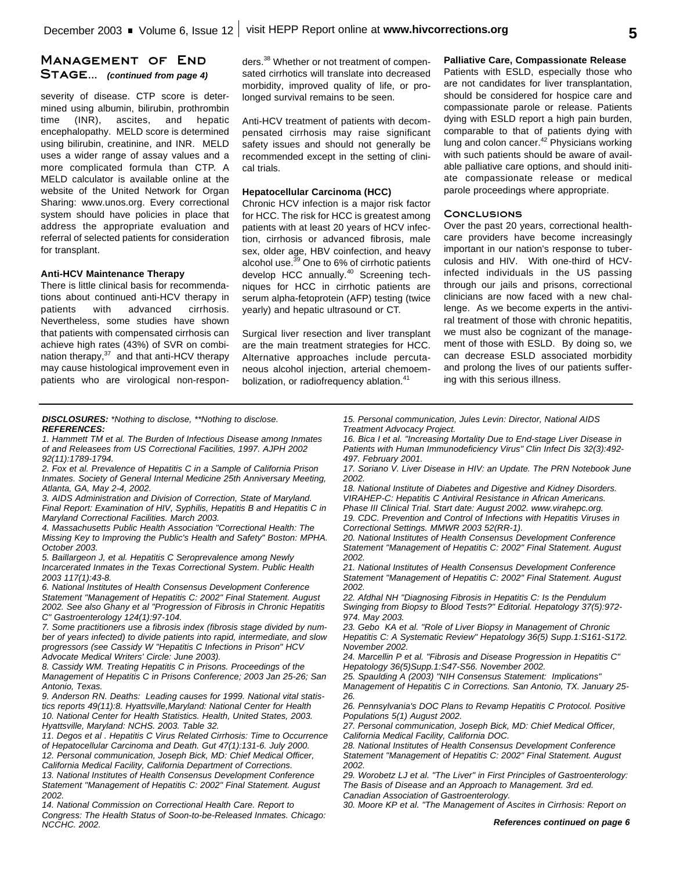# **Management of End Stage...** *(continued from page 4)*

severity of disease. CTP score is determined using albumin, bilirubin, prothrombin time (INR), ascites, and hepatic encephalopathy. MELD score is determined using bilirubin, creatinine, and INR. MELD uses a wider range of assay values and a more complicated formula than CTP. A MELD calculator is available online at the website of the United Network for Organ Sharing: www.unos.org. Every correctional system should have policies in place that address the appropriate evaluation and referral of selected patients for consideration for transplant.

#### **Anti-HCV Maintenance Therapy**

There is little clinical basis for recommendations about continued anti-HCV therapy in patients with advanced cirrhosis. Nevertheless, some studies have shown that patients with compensated cirrhosis can achieve high rates (43%) of SVR on combination therapy,<sup>37</sup> and that anti-HCV therapy may cause histological improvement even in patients who are virological non-respon-

ders. <sup>38</sup> Whether or not treatment of compensated cirrhotics will translate into decreased morbidity, improved quality of life, or prolonged survival remains to be seen.

Anti-HCV treatment of patients with decompensated cirrhosis may raise significant safety issues and should not generally be recommended except in the setting of clinical trials.

#### **Hepatocellular Carcinoma (HCC)**

Chronic HCV infection is a major risk factor for HCC. The risk for HCC is greatest among patients with at least 20 years of HCV infection, cirrhosis or advanced fibrosis, male sex, older age, HBV coinfection, and heavy alcohol use. <sup>39</sup> One to 6% of cirrhotic patients develop HCC annually.<sup>40</sup> Screening techniques for HCC in cirrhotic patients are serum alpha-fetoprotein (AFP) testing (twice yearly) and hepatic ultrasound or CT.

Surgical liver resection and liver transplant are the main treatment strategies for HCC. Alternative approaches include percutaneous alcohol injection, arterial chemoembolization, or radiofrequency ablation.<sup>41</sup>

# **Palliative Care, Compassionate Release**

Patients with ESLD, especially those who are not candidates for liver transplantation, should be considered for hospice care and compassionate parole or release. Patients dying with ESLD report a high pain burden, comparable to that of patients dying with lung and colon cancer.<sup>42</sup> Physicians working with such patients should be aware of available palliative care options, and should initiate compassionate release or medical parole proceedings where appropriate.

#### **Conclusions**

Over the past 20 years, correctional healthcare providers have become increasingly important in our nation's response to tuberculosis and HIV. With one-third of HCVinfected individuals in the US passing through our jails and prisons, correctional clinicians are now faced with a new challenge. As we become experts in the antiviral treatment of those with chronic hepatitis, we must also be cognizant of the management of those with ESLD. By doing so, we can decrease ESLD associated morbidity and prolong the lives of our patients suffering with this serious illness.

#### *DISCLOSURES: \*Nothing to disclose, \*\*Nothing to disclose. REFERENCES:*

*1. Hammett TM et al. The Burden of Infectious Disease among Inmates of and Releasees from US Correctional Facilities, 1997. AJPH 2002 92(11):1789-1794.*

*2. Fox et al. Prevalence of Hepatitis C in a Sample of California Prison Inmates. Society of General Internal Medicine 25th Anniversary Meeting, Atlanta, GA, May 2-4, 2002.*

*3. AIDS Administration and Division of Correction, State of Maryland. Final Report: Examination of HIV, Syphilis, Hepatitis B and Hepatitis C in Maryland Correctional Facilities. March 2003.*

*4. Massachusetts Public Health Association "Correctional Health: The Missing Key to Improving the Public's Health and Safety" Boston: MPHA. October 2003.*

*5. Baillargeon J, et al. Hepatitis C Seroprevalence among Newly Incarcerated Inmates in the Texas Correctional System. Public Health 2003 117(1):43-8.*

*6. National Institutes of Health Consensus Development Conference Statement "Management of Hepatitis C: 2002" Final Statement. August 2002. See also Ghany et al "Progression of Fibrosis in Chronic Hepatitis C" Gastroenterology 124(1):97-104.*

*7. Some practitioners use a fibrosis index (fibrosis stage divided by number of years infected) to divide patients into rapid, intermediate, and slow progressors (see Cassidy W "Hepatitis C Infections in Prison" HCV Advocate Medical Writers' Circle: June 2003).*

*8. Cassidy WM. Treating Hepatitis C in Prisons. Proceedings of the Management of Hepatitis C in Prisons Conference; 2003 Jan 25-26; San Antonio, Texas.*

*9. Anderson RN. Deaths: Leading causes for 1999. National vital statistics reports 49(11):8. Hyattsville,Maryland: National Center for Health 10. National Center for Health Statistics. Health, United States, 2003. Hyattsville, Maryland: NCHS. 2003. Table 32.*

*11. Degos et al . Hepatitis C Virus Related Cirrhosis: Time to Occurrence of Hepatocellular Carcinoma and Death. Gut 47(1):131-6. July 2000. 12. Personal communication, Joseph Bick, MD: Chief Medical Officer,*

*California Medical Facility, California Department of Corrections.*

*13. National Institutes of Health Consensus Development Conference Statement "Management of Hepatitis C: 2002" Final Statement. August 2002.*

*14. National Commission on Correctional Health Care. Report to Congress: The Health Status of Soon-to-be-Released Inmates. Chicago: NCCHC. 2002.*

*15. Personal communication, Jules Levin: Director, National AIDS Treatment Advocacy Project.*

*16. Bica I et al. "Increasing Mortality Due to End-stage Liver Disease in Patients with Human Immunodeficiency Virus" Clin Infect Dis 32(3):492- 497. February 2001.*

*17. Soriano V. Liver Disease in HIV: an Update. The PRN Notebook June 2002.*

*18. National Institute of Diabetes and Digestive and Kidney Disorders. VIRAHEP-C: Hepatitis C Antiviral Resistance in African Americans.*

*Phase III Clinical Trial. Start date: August 2002. www.virahepc.org. 19. CDC. Prevention and Control of Infections with Hepatitis Viruses in Correctional Settings. MMWR 2003 52(RR-1).*

*20. National Institutes of Health Consensus Development Conference Statement "Management of Hepatitis C: 2002" Final Statement. August 2002.*

*21. National Institutes of Health Consensus Development Conference Statement "Management of Hepatitis C: 2002" Final Statement. August 2002.*

*22. Afdhal NH "Diagnosing Fibrosis in Hepatitis C: Is the Pendulum Swinging from Biopsy to Blood Tests?" Editorial. Hepatology 37(5):972- 974. May 2003.*

*23. Gebo KA et al. "Role of Liver Biopsy in Management of Chronic Hepatitis C: A Systematic Review" Hepatology 36(5) Supp.1:S161-S172. November 2002.*

*24. Marcellin P et al. "Fibrosis and Disease Progression in Hepatitis C" Hepatology 36(5)Supp.1:S47-S56. November 2002.*

*25. Spaulding A (2003) "NIH Consensus Statement: Implications" Management of Hepatitis C in Corrections. San Antonio, TX. January 25- 26.*

*26. Pennsylvania's DOC Plans to Revamp Hepatitis C Protocol. Positive Populations 5(1) August 2002.*

*27. Personal communication, Joseph Bick, MD: Chief Medical Officer, California Medical Facility, California DOC.*

*28. National Institutes of Health Consensus Development Conference Statement "Management of Hepatitis C: 2002" Final Statement. August 2002.*

*29. Worobetz LJ et al. "The Liver" in First Principles of Gastroenterology: The Basis of Disease and an Approach to Management. 3rd ed. Canadian Association of Gastroenterology.*

*30. Moore KP et al. "The Management of Ascites in Cirrhosis: Report on*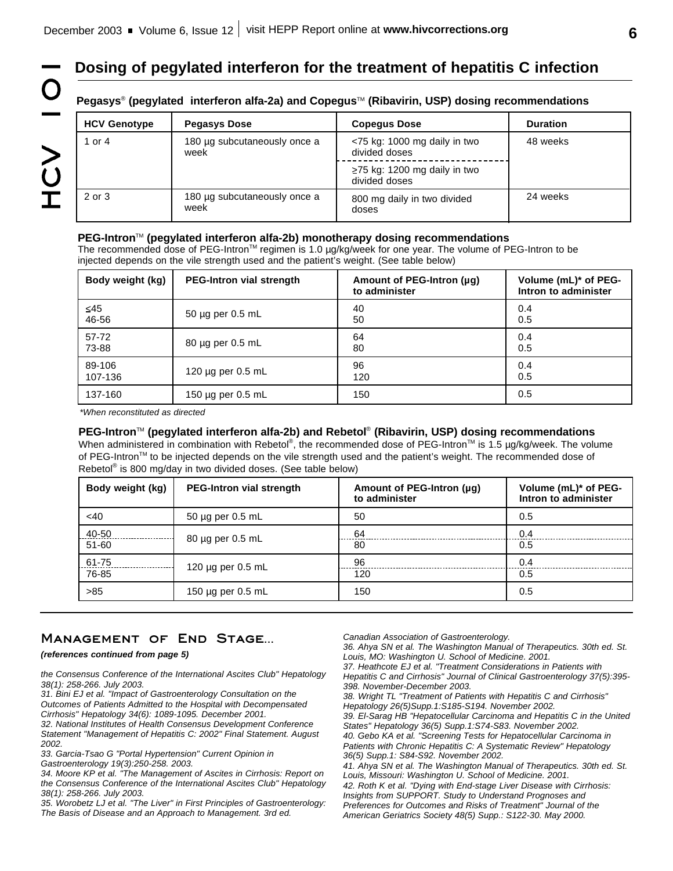**Dosing of pegylated interferon for the treatment of hepatitis C infection**

# Pegasys<sup>®</sup> (pegylated interferon alfa-2a) and Copegus™ (Ribavirin, USP) dosing recommendations

| <b>HCV Genotype</b> | <b>Pegasys Dose</b>                  | <b>Copegus Dose</b>                                | <b>Duration</b> |
|---------------------|--------------------------------------|----------------------------------------------------|-----------------|
| 1 or 4              | 180 µg subcutaneously once a<br>week | $<$ 75 kg: 1000 mg daily in two<br>divided doses   | 48 weeks        |
|                     |                                      | $\ge$ 75 kg: 1200 mg daily in two<br>divided doses |                 |
| 2 or 3              | 180 µg subcutaneously once a<br>week | 800 mg daily in two divided<br>doses               | 24 weeks        |

## **PEG-Intron™ (pegylated interferon alfa-2b) monotherapy dosing recommendations**

The recommended dose of PEG-Intron™ regimen is 1.0 µg/kg/week for one year. The volume of PEG-Intron to be injected depends on the vile strength used and the patient's weight. (See table below)

| Body weight (kg) | <b>PEG-Intron vial strength</b> | Amount of PEG-Intron (µq)<br>to administer | Volume (mL)* of PEG-<br>Intron to administer |
|------------------|---------------------------------|--------------------------------------------|----------------------------------------------|
| $\leq$ 45        | $50 \mu$ g per 0.5 mL           | 40                                         | 0.4                                          |
| 46-56            |                                 | 50                                         | 0.5                                          |
| 57-72            | $80 \mu$ g per 0.5 mL           | 64                                         | 0.4                                          |
| 73-88            |                                 | 80                                         | 0.5                                          |
| 89-106           | 120 $\mu$ g per 0.5 mL          | 96                                         | 0.4                                          |
| 107-136          |                                 | 120                                        | 0.5                                          |
| 137-160          | 150 $\mu$ g per 0.5 mL          | 150                                        | 0.5                                          |

*\*When reconstituted as directed*

 $\overline{\phantom{0}}$ 

**NOT** 

## **PEG-Intron<sup>™</sup> (pegylated interferon alfa-2b) and Rebetol<sup>®</sup> (Ribavirin, USP) dosing recommendations**

When administered in combination with Rebetol®, the recommended dose of PEG-Intron™ is 1.5 µg/kg/week. The volume of PEG-Intron™ to be injected depends on the vile strength used and the patient's weight. The recommended dose of Rebetol<sup>®</sup> is 800 mg/day in two divided doses. (See table below)

| Body weight (kg)   | <b>PEG-Intron vial strength</b> | Amount of PEG-Intron (µq)<br>to administer | Volume (mL)* of PEG-<br>Intron to administer |
|--------------------|---------------------------------|--------------------------------------------|----------------------------------------------|
| $<$ 40             | 50 µg per 0.5 mL                | 50                                         | 0.5                                          |
| 40-50<br>$51 - 60$ | $80 \mu$ g per 0.5 mL           | 64<br>80                                   | 0.4<br>0.5                                   |
| 61-75<br>76-85     | 120 $\mu$ g per 0.5 mL          | 96<br>120                                  | 0.4<br>0.5                                   |
| >85                | 150 µg per 0.5 mL               | 150                                        | 0.5                                          |

# **Management of End Stage...**

#### *(references continued from page 5)*

*the Consensus Conference of the International Ascites Club" Hepatology 38(1): 258-266. July 2003.*

*31. Bini EJ et al. "Impact of Gastroenterology Consultation on the Outcomes of Patients Admitted to the Hospital with Decompensated Cirrhosis" Hepatology 34(6): 1089-1095. December 2001.*

*32. National Institutes of Health Consensus Development Conference Statement "Management of Hepatitis C: 2002" Final Statement. August 2002.*

*33. Garcia-Tsao G "Portal Hypertension" Current Opinion in Gastroenterology 19(3):250-258. 2003.*

*34. Moore KP et al. "The Management of Ascites in Cirrhosis: Report on the Consensus Conference of the International Ascites Club" Hepatology 38(1): 258-266. July 2003.*

*35. Worobetz LJ et al. "The Liver" in First Principles of Gastroenterology: The Basis of Disease and an Approach to Management. 3rd ed.*

*Canadian Association of Gastroenterology.*

*36. Ahya SN et al. The Washington Manual of Therapeutics. 30th ed. St. Louis, MO: Washington U. School of Medicine. 2001. 37. Heathcote EJ et al. "Treatment Considerations in Patients with Hepatitis C and Cirrhosis" Journal of Clinical Gastroenterology 37(5):395- 398. November-December 2003. 38. Wright TL "Treatment of Patients with Hepatitis C and Cirrhosis" Hepatology 26(5)Supp.1:S185-S194. November 2002. 39. El-Sarag HB "Hepatocellular Carcinoma and Hepatitis C in the United States" Hepatology 36(5) Supp.1:S74-S83. November 2002. 40. Gebo KA et al. "Screening Tests for Hepatocellular Carcinoma in Patients with Chronic Hepatitis C: A Systematic Review" Hepatology 36(5) Supp.1: S84-S92. November 2002. 41. Ahya SN et al. The Washington Manual of Therapeutics. 30th ed. St. Louis, Missouri: Washington U. School of Medicine. 2001. 42. Roth K et al. "Dying with End-stage Liver Disease with Cirrhosis: Insights from SUPPORT. Study to Understand Prognoses and Preferences for Outcomes and Risks of Treatment" Journal of the American Geriatrics Society 48(5) Supp.: S122-30. May 2000.*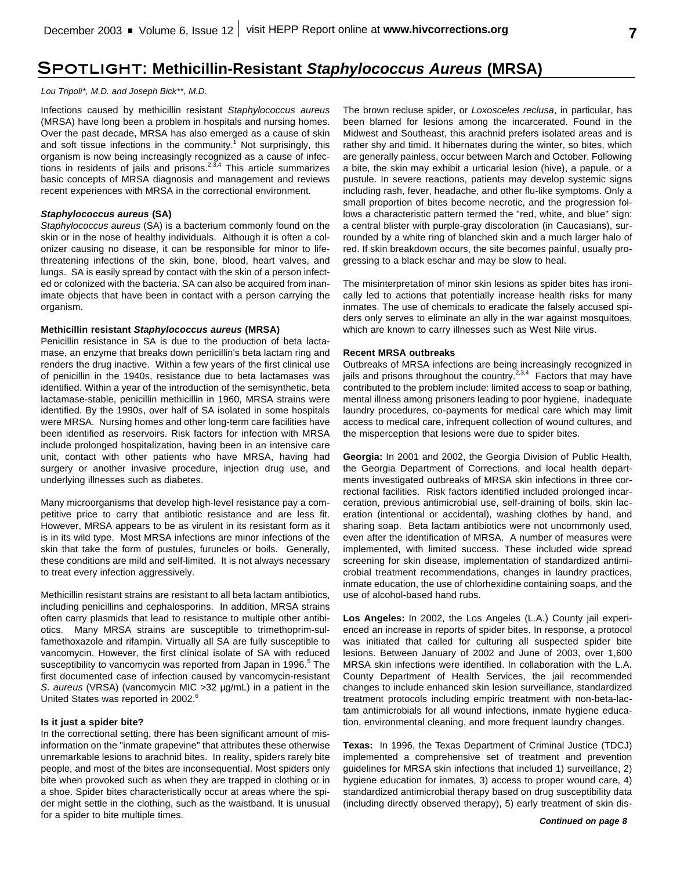# **Spotlight: Methicillin-Resistant** *Staphylococcus Aureus* **(MRSA)**

*Lou Tripoli\*, M.D. and Joseph Bick\*\*, M.D.*

Infections caused by methicillin resistant *Staphylococcus aureus* (MRSA) have long been a problem in hospitals and nursing homes. Over the past decade, MRSA has also emerged as a cause of skin and soft tissue infections in the community.<sup>1</sup> Not surprisingly, this organism is now being increasingly recognized as a cause of infections in residents of jails and prisons.<sup>2,3,4</sup> This article summarizes basic concepts of MRSA diagnosis and management and reviews recent experiences with MRSA in the correctional environment.

# *Staphylococcus aureus* **(SA)**

*Staphylococcus aureus* (SA) is a bacterium commonly found on the skin or in the nose of healthy individuals. Although it is often a colonizer causing no disease, it can be responsible for minor to lifethreatening infections of the skin, bone, blood, heart valves, and lungs. SA is easily spread by contact with the skin of a person infected or colonized with the bacteria. SA can also be acquired from inanimate objects that have been in contact with a person carrying the organism.

# **Methicillin resistant** *Staphylococcus aureus* **(MRSA)**

Penicillin resistance in SA is due to the production of beta lactamase, an enzyme that breaks down penicillin's beta lactam ring and renders the drug inactive. Within a few years of the first clinical use of penicillin in the 1940s, resistance due to beta lactamases was identified. Within a year of the introduction of the semisynthetic, beta lactamase-stable, penicillin methicillin in 1960, MRSA strains were identified. By the 1990s, over half of SA isolated in some hospitals were MRSA. Nursing homes and other long-term care facilities have been identified as reservoirs. Risk factors for infection with MRSA include prolonged hospitalization, having been in an intensive care unit, contact with other patients who have MRSA, having had surgery or another invasive procedure, injection drug use, and underlying illnesses such as diabetes.

Many microorganisms that develop high-level resistance pay a competitive price to carry that antibiotic resistance and are less fit. However, MRSA appears to be as virulent in its resistant form as it is in its wild type. Most MRSA infections are minor infections of the skin that take the form of pustules, furuncles or boils. Generally, these conditions are mild and self-limited. It is not always necessary to treat every infection aggressively.

Methicillin resistant strains are resistant to all beta lactam antibiotics, including penicillins and cephalosporins. In addition, MRSA strains often carry plasmids that lead to resistance to multiple other antibiotics. Many MRSA strains are susceptible to trimethoprim-sulfamethoxazole and rifampin. Virtually all SA are fully susceptible to vancomycin. However, the first clinical isolate of SA with reduced susceptibility to vancomycin was reported from Japan in 1996.<sup>5</sup> The first documented case of infection caused by vancomycin-resistant *S. aureus* (VRSA) (vancomycin MIC >32 µg/mL) in a patient in the United States was reported in 2002.<sup>6</sup>

# **Is it just a spider bite?**

In the correctional setting, there has been significant amount of misinformation on the "inmate grapevine" that attributes these otherwise unremarkable lesions to arachnid bites. In reality, spiders rarely bite people, and most of the bites are inconsequential. Most spiders only bite when provoked such as when they are trapped in clothing or in a shoe. Spider bites characteristically occur at areas where the spider might settle in the clothing, such as the waistband. It is unusual for a spider to bite multiple times.

The brown recluse spider, or *Loxosceles reclusa*, in particular, has been blamed for lesions among the incarcerated. Found in the Midwest and Southeast, this arachnid prefers isolated areas and is rather shy and timid. It hibernates during the winter, so bites, which are generally painless, occur between March and October. Following a bite, the skin may exhibit a urticarial lesion (hive), a papule, or a pustule. In severe reactions, patients may develop systemic signs including rash, fever, headache, and other flu-like symptoms. Only a small proportion of bites become necrotic, and the progression follows a characteristic pattern termed the "red, white, and blue" sign: a central blister with purple-gray discoloration (in Caucasians), surrounded by a white ring of blanched skin and a much larger halo of red. If skin breakdown occurs, the site becomes painful, usually progressing to a black eschar and may be slow to heal.

The misinterpretation of minor skin lesions as spider bites has ironically led to actions that potentially increase health risks for many inmates. The use of chemicals to eradicate the falsely accused spiders only serves to eliminate an ally in the war against mosquitoes, which are known to carry illnesses such as West Nile virus.

# **Recent MRSA outbreaks**

Outbreaks of MRSA infections are being increasingly recognized in jails and prisons throughout the country.<sup>2,3,4</sup> Factors that may have contributed to the problem include: limited access to soap or bathing, mental illness among prisoners leading to poor hygiene, inadequate laundry procedures, co-payments for medical care which may limit access to medical care, infrequent collection of wound cultures, and the misperception that lesions were due to spider bites.

**Georgia:** In 2001 and 2002, the Georgia Division of Public Health, the Georgia Department of Corrections, and local health departments investigated outbreaks of MRSA skin infections in three correctional facilities. Risk factors identified included prolonged incarceration, previous antimicrobial use, self-draining of boils, skin laceration (intentional or accidental), washing clothes by hand, and sharing soap. Beta lactam antibiotics were not uncommonly used, even after the identification of MRSA. A number of measures were implemented, with limited success. These included wide spread screening for skin disease, implementation of standardized antimicrobial treatment recommendations, changes in laundry practices, inmate education, the use of chlorhexidine containing soaps, and the use of alcohol-based hand rubs.

**Los Angeles:** In 2002, the Los Angeles (L.A.) County jail experienced an increase in reports of spider bites. In response, a protocol was initiated that called for culturing all suspected spider bite lesions. Between January of 2002 and June of 2003, over 1,600 MRSA skin infections were identified. In collaboration with the L.A. County Department of Health Services, the jail recommended changes to include enhanced skin lesion surveillance, standardized treatment protocols including empiric treatment with non-beta-lactam antimicrobials for all wound infections, inmate hygiene education, environmental cleaning, and more frequent laundry changes.

**Texas:** In 1996, the Texas Department of Criminal Justice (TDCJ) implemented a comprehensive set of treatment and prevention guidelines for MRSA skin infections that included 1) surveillance, 2) hygiene education for inmates, 3) access to proper wound care, 4) standardized antimicrobial therapy based on drug susceptibility data (including directly observed therapy), 5) early treatment of skin dis-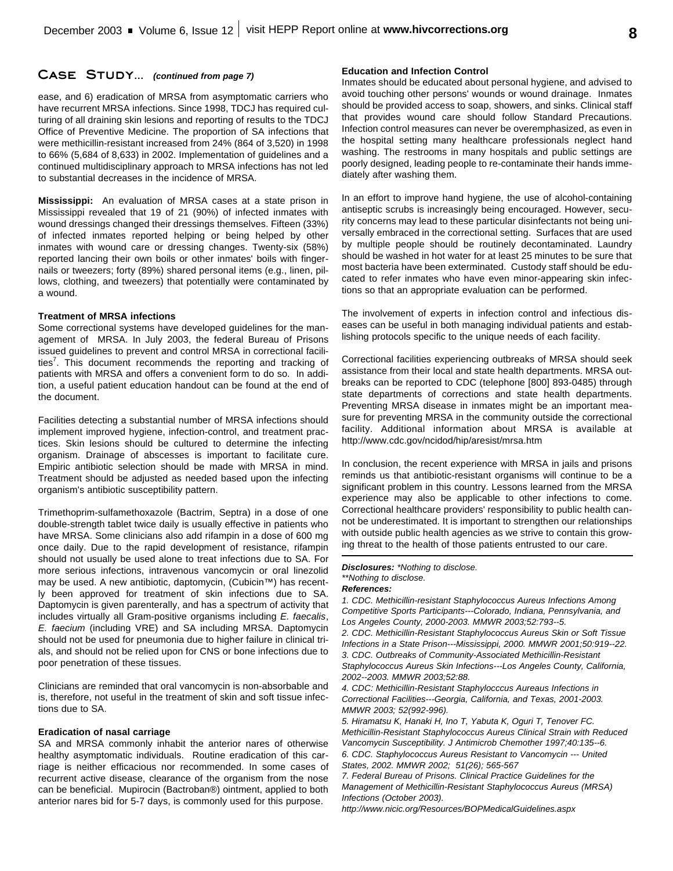### **Case Study...** *(continued from page 7)*

ease, and 6) eradication of MRSA from asymptomatic carriers who have recurrent MRSA infections. Since 1998, TDCJ has required culturing of all draining skin lesions and reporting of results to the TDCJ Office of Preventive Medicine. The proportion of SA infections that were methicillin-resistant increased from 24% (864 of 3,520) in 1998 to 66% (5,684 of 8,633) in 2002. Implementation of guidelines and a continued multidisciplinary approach to MRSA infections has not led to substantial decreases in the incidence of MRSA.

**Mississippi:** An evaluation of MRSA cases at a state prison in Mississippi revealed that 19 of 21 (90%) of infected inmates with wound dressings changed their dressings themselves. Fifteen (33%) of infected inmates reported helping or being helped by other inmates with wound care or dressing changes. Twenty-six (58%) reported lancing their own boils or other inmates' boils with fingernails or tweezers; forty (89%) shared personal items (e.g., linen, pillows, clothing, and tweezers) that potentially were contaminated by a wound.

#### **Treatment of MRSA infections**

Some correctional systems have developed guidelines for the management of MRSA. In July 2003, the federal Bureau of Prisons issued guidelines to prevent and control MRSA in correctional facilities<sup>7</sup>. This document recommends the reporting and tracking of patients with MRSA and offers a convenient form to do so. In addition, a useful patient education handout can be found at the end of the document.

Facilities detecting a substantial number of MRSA infections should implement improved hygiene, infection-control, and treatment practices. Skin lesions should be cultured to determine the infecting organism. Drainage of abscesses is important to facilitate cure. Empiric antibiotic selection should be made with MRSA in mind. Treatment should be adjusted as needed based upon the infecting organism's antibiotic susceptibility pattern.

Trimethoprim-sulfamethoxazole (Bactrim, Septra) in a dose of one double-strength tablet twice daily is usually effective in patients who have MRSA. Some clinicians also add rifampin in a dose of 600 mg once daily. Due to the rapid development of resistance, rifampin should not usually be used alone to treat infections due to SA. For more serious infections, intravenous vancomycin or oral linezolid may be used. A new antibiotic, daptomycin, (Cubicin™) has recently been approved for treatment of skin infections due to SA. Daptomycin is given parenterally, and has a spectrum of activity that includes virtually all Gram-positive organisms including *E. faecalis*, *E. faecium* (including VRE) and SA including MRSA. Daptomycin should not be used for pneumonia due to higher failure in clinical trials, and should not be relied upon for CNS or bone infections due to poor penetration of these tissues.

Clinicians are reminded that oral vancomycin is non-absorbable and is, therefore, not useful in the treatment of skin and soft tissue infections due to SA.

### **Eradication of nasal carriage**

SA and MRSA commonly inhabit the anterior nares of otherwise healthy asymptomatic individuals. Routine eradication of this carriage is neither efficacious nor recommended. In some cases of recurrent active disease, clearance of the organism from the nose can be beneficial. Mupirocin (Bactroban®) ointment, applied to both anterior nares bid for 5-7 days, is commonly used for this purpose.

#### **Education and Infection Control**

Inmates should be educated about personal hygiene, and advised to avoid touching other persons' wounds or wound drainage. Inmates should be provided access to soap, showers, and sinks. Clinical staff that provides wound care should follow Standard Precautions. Infection control measures can never be overemphasized, as even in the hospital setting many healthcare professionals neglect hand washing. The restrooms in many hospitals and public settings are poorly designed, leading people to re-contaminate their hands immediately after washing them.

In an effort to improve hand hygiene, the use of alcohol-containing antiseptic scrubs is increasingly being encouraged. However, security concerns may lead to these particular disinfectants not being universally embraced in the correctional setting. Surfaces that are used by multiple people should be routinely decontaminated. Laundry should be washed in hot water for at least 25 minutes to be sure that most bacteria have been exterminated. Custody staff should be educated to refer inmates who have even minor-appearing skin infections so that an appropriate evaluation can be performed.

The involvement of experts in infection control and infectious diseases can be useful in both managing individual patients and establishing protocols specific to the unique needs of each facility.

Correctional facilities experiencing outbreaks of MRSA should seek assistance from their local and state health departments. MRSA outbreaks can be reported to CDC (telephone [800] 893-0485) through state departments of corrections and state health departments. Preventing MRSA disease in inmates might be an important measure for preventing MRSA in the community outside the correctional facility. Additional information about MRSA is available at http://www.cdc.gov/ncidod/hip/aresist/mrsa.htm

In conclusion, the recent experience with MRSA in jails and prisons reminds us that antibiotic-resistant organisms will continue to be a significant problem in this country. Lessons learned from the MRSA experience may also be applicable to other infections to come. Correctional healthcare providers' responsibility to public health cannot be underestimated. It is important to strengthen our relationships with outside public health agencies as we strive to contain this growing threat to the health of those patients entrusted to our care.

#### *Disclosures: \*Nothing to disclose. \*\*Nothing to disclose. References:*

*1. CDC. Methicillin-resistant Staphylococcus Aureus Infections Among Competitive Sports Participants---Colorado, Indiana, Pennsylvania, and Los Angeles County, 2000-2003. MMWR 2003;52:793--5.*

*2. CDC. Methicillin-Resistant Staphylococcus Aureus Skin or Soft Tissue Infections in a State Prison---Mississippi, 2000. MMWR 2001;50:919--22. 3. CDC. Outbreaks of Community-Associated Methicillin-Resistant Staphylococcus Aureus Skin Infections---Los Angeles County, California, 2002--2003. MMWR 2003;52:88.*

*4. CDC: Methicillin-Resistant Staphylocccus Aureaus Infections in Correctional Facilities---Georgia, California, and Texas, 2001-2003. MMWR 2003; 52(992-996).*

*5. Hiramatsu K, Hanaki H, Ino T, Yabuta K, Oguri T, Tenover FC. Methicillin-Resistant Staphylococcus Aureus Clinical Strain with Reduced Vancomycin Susceptibility. J Antimicrob Chemother 1997;40:135--6. 6. CDC. Staphylococcus Aureus Resistant to Vancomycin --- United States, 2002. MMWR 2002; 51(26); 565-567* 

*7. Federal Bureau of Prisons. Clinical Practice Guidelines for the Management of Methicillin-Resistant Staphylococcus Aureus (MRSA) Infections (October 2003).*

*http://www.nicic.org/Resources/BOPMedicalGuidelines.aspx*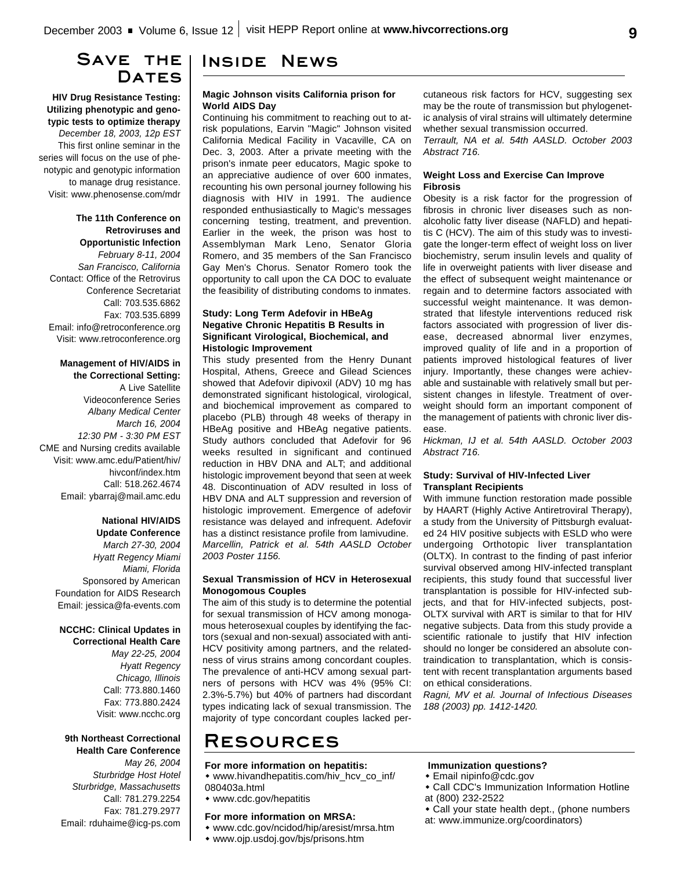# **Save the** DATES

**HIV Drug Resistance Testing: Utilizing phenotypic and genotypic tests to optimize therapy** *December 18, 2003, 12p EST* This first online seminar in the series will focus on the use of phenotypic and genotypic information to manage drug resistance. Visit: www.phenosense.com/mdr

> **The 11th Conference on Retroviruses and Opportunistic Infection** *February 8-11, 2004*

*San Francisco, California* Contact: Office of the Retrovirus Conference Secretariat Call: 703.535.6862 Fax: 703.535.6899 Email: info@retroconference.org Visit: www.retroconference.org

# **Management of HIV/AIDS in**

**the Correctional Setting:** A Live Satellite Videoconference Series *Albany Medical Center March 16, 2004 12:30 PM - 3:30 PM EST* CME and Nursing credits available Visit: www.amc.edu/Patient/hiv/ hivconf/index.htm Call: 518.262.4674 Email: ybarraj@mail.amc.edu

#### **National HIV/AIDS Update Conference**

*March 27-30, 2004 Hyatt Regency Miami Miami, Florida* Sponsored by American Foundation for AIDS Research Email: jessica@fa-events.com

# **NCCHC: Clinical Updates in**

**Correctional Health Care** *May 22-25, 2004 Hyatt Regency Chicago, Illinois* Call: 773.880.1460 Fax: 773.880.2424 Visit: www.ncchc.org

#### **9th Northeast Correctional Health Care Conference**

*May 26, 2004 Sturbridge Host Hotel Sturbridge, Massachusetts* Call: 781.279.2254 Fax: 781.279.2977 Email: rduhaime@icg-ps.com

# **Inside News**

### **Magic Johnson visits California prison for World AIDS Day**

Continuing his commitment to reaching out to atrisk populations, Earvin "Magic" Johnson visited California Medical Facility in Vacaville, CA on Dec. 3, 2003. After a private meeting with the prison's inmate peer educators, Magic spoke to an appreciative audience of over 600 inmates, recounting his own personal journey following his diagnosis with HIV in 1991. The audience responded enthusiastically to Magic's messages concerning testing, treatment, and prevention. Earlier in the week, the prison was host to Assemblyman Mark Leno, Senator Gloria Romero, and 35 members of the San Francisco Gay Men's Chorus. Senator Romero took the opportunity to call upon the CA DOC to evaluate the feasibility of distributing condoms to inmates.

## **Study: Long Term Adefovir in HBeAg Negative Chronic Hepatitis B Results in Significant Virological, Biochemical, and Histologic Improvement**

This study presented from the Henry Dunant Hospital, Athens, Greece and Gilead Sciences showed that Adefovir dipivoxil (ADV) 10 mg has demonstrated significant histological, virological, and biochemical improvement as compared to placebo (PLB) through 48 weeks of therapy in HBeAg positive and HBeAg negative patients. Study authors concluded that Adefovir for 96 weeks resulted in significant and continued reduction in HBV DNA and ALT; and additional histologic improvement beyond that seen at week 48. Discontinuation of ADV resulted in loss of HBV DNA and ALT suppression and reversion of histologic improvement. Emergence of adefovir resistance was delayed and infrequent. Adefovir has a distinct resistance profile from lamivudine. *Marcellin, Patrick et al. 54th AASLD October 2003 Poster 1156.*

#### **Sexual Transmission of HCV in Heterosexual Monogomous Couples**

The aim of this study is to determine the potential for sexual transmission of HCV among monogamous heterosexual couples by identifying the factors (sexual and non-sexual) associated with anti-HCV positivity among partners, and the relatedness of virus strains among concordant couples. The prevalence of anti-HCV among sexual partners of persons with HCV was 4% (95% CI: 2.3%-5.7%) but 40% of partners had discordant types indicating lack of sexual transmission. The majority of type concordant couples lacked per-

# **Resources**

#### **For more information on hepatitis:**

w www.hivandhepatitis.com/hiv\_hcv\_co\_inf/ 080403a.html

w www.cdc.gov/hepatitis

#### **For more information on MRSA:**

- w www.cdc.gov/ncidod/hip/aresist/mrsa.htm
- w www.ojp.usdoj.gov/bjs/prisons.htm

## cutaneous risk factors for HCV, suggesting sex may be the route of transmission but phylogenetic analysis of viral strains will ultimately determine whether sexual transmission occurred.

*Terrault, NA et al. 54th AASLD. October 2003 Abstract 716.*

#### **Weight Loss and Exercise Can Improve Fibrosis**

Obesity is a risk factor for the progression of fibrosis in chronic liver diseases such as nonalcoholic fatty liver disease (NAFLD) and hepatitis C (HCV). The aim of this study was to investigate the longer-term effect of weight loss on liver biochemistry, serum insulin levels and quality of life in overweight patients with liver disease and the effect of subsequent weight maintenance or regain and to determine factors associated with successful weight maintenance. It was demonstrated that lifestyle interventions reduced risk factors associated with progression of liver disease, decreased abnormal liver enzymes, improved quality of life and in a proportion of patients improved histological features of liver injury. Importantly, these changes were achievable and sustainable with relatively small but persistent changes in lifestyle. Treatment of overweight should form an important component of the management of patients with chronic liver disease.

*Hickman, IJ et al. 54th AASLD. October 2003 Abstract 716.*

#### **Study: Survival of HIV-Infected Liver Transplant Recipients**

With immune function restoration made possible by HAART (Highly Active Antiretroviral Therapy), a study from the University of Pittsburgh evaluated 24 HIV positive subjects with ESLD who were undergoing Orthotopic liver transplantation (OLTX). In contrast to the finding of past inferior survival observed among HIV-infected transplant recipients, this study found that successful liver transplantation is possible for HIV-infected subjects, and that for HIV-infected subjects, post-OLTX survival with ART is similar to that for HIV negative subjects. Data from this study provide a scientific rationale to justify that HIV infection should no longer be considered an absolute contraindication to transplantation, which is consistent with recent transplantation arguments based on ethical considerations.

*Ragni, MV et al. Journal of Infectious Diseases 188 (2003) pp. 1412-1420.*

## **Immunization questions?**

#### w Email nipinfo@cdc.gov

- Call CDC's Immunization Information Hotline at (800) 232-2522
- Call your state health dept., (phone numbers at: www.immunize.org/coordinators)